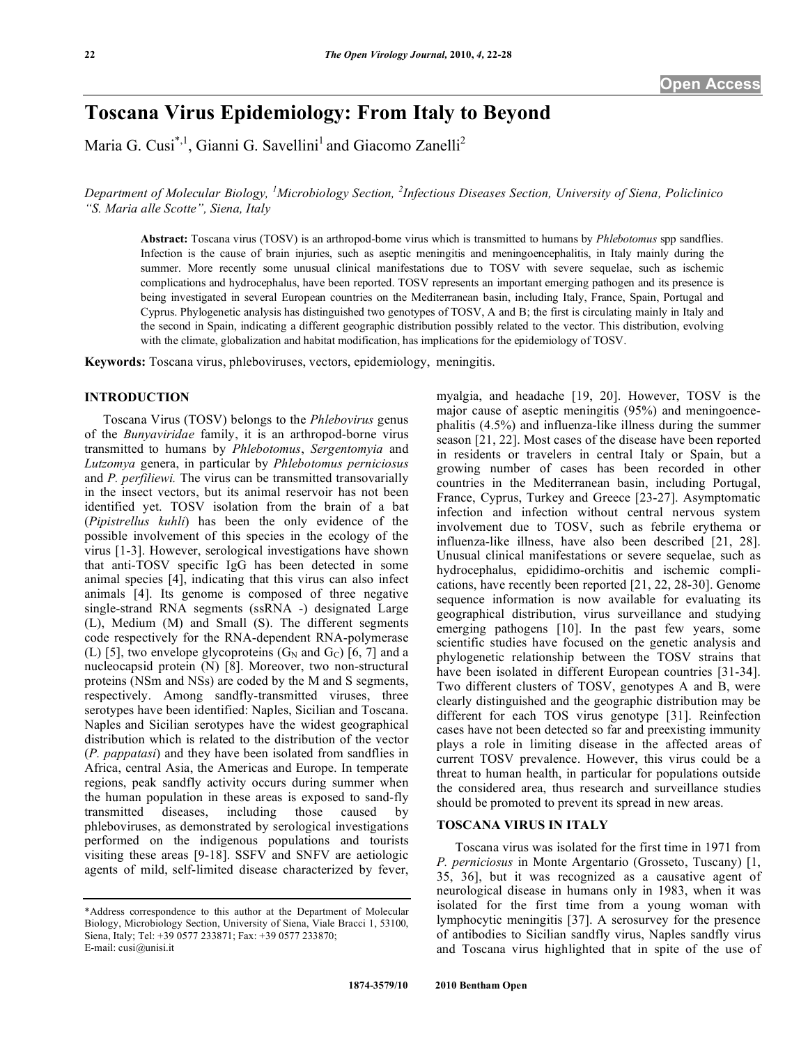# **Toscana Virus Epidemiology: From Italy to Beyond**

Maria G. Cusi<sup>\*,1</sup>, Gianni G. Savellini<sup>1</sup> and Giacomo Zanelli<sup>2</sup>

*Department of Molecular Biology, <sup>1</sup> Microbiology Section, <sup>2</sup> Infectious Diseases Section, University of Siena, Policlinico "S. Maria alle Scotte", Siena, Italy* 

**Abstract:** Toscana virus (TOSV) is an arthropod-borne virus which is transmitted to humans by *Phlebotomus* spp sandflies. Infection is the cause of brain injuries, such as aseptic meningitis and meningoencephalitis, in Italy mainly during the summer. More recently some unusual clinical manifestations due to TOSV with severe sequelae, such as ischemic complications and hydrocephalus, have been reported. TOSV represents an important emerging pathogen and its presence is being investigated in several European countries on the Mediterranean basin, including Italy, France, Spain, Portugal and Cyprus. Phylogenetic analysis has distinguished two genotypes of TOSV, A and B; the first is circulating mainly in Italy and the second in Spain, indicating a different geographic distribution possibly related to the vector. This distribution, evolving with the climate, globalization and habitat modification, has implications for the epidemiology of TOSV.

**Keywords:** Toscana virus, phleboviruses, vectors, epidemiology, meningitis.

## **INTRODUCTION**

 Toscana Virus (TOSV) belongs to the *Phlebovirus* genus of the *Bunyaviridae* family, it is an arthropod-borne virus transmitted to humans by *Phlebotomus*, *Sergentomyia* and *Lutzomya* genera, in particular by *Phlebotomus perniciosus* and *P. perfiliewi.* The virus can be transmitted transovarially in the insect vectors, but its animal reservoir has not been identified yet. TOSV isolation from the brain of a bat (*Pipistrellus kuhli*) has been the only evidence of the possible involvement of this species in the ecology of the virus [1-3]. However, serological investigations have shown that anti-TOSV specific IgG has been detected in some animal species [4], indicating that this virus can also infect animals [4]. Its genome is composed of three negative single-strand RNA segments (ssRNA -) designated Large (L), Medium (M) and Small (S). The different segments code respectively for the RNA-dependent RNA-polymerase (L) [5], two envelope glycoproteins  $(G_N \text{ and } G_C)$  [6, 7] and a nucleocapsid protein (N) [8]. Moreover, two non-structural proteins (NSm and NSs) are coded by the M and S segments, respectively. Among sandfly-transmitted viruses, three serotypes have been identified: Naples, Sicilian and Toscana. Naples and Sicilian serotypes have the widest geographical distribution which is related to the distribution of the vector (*P. pappatasi*) and they have been isolated from sandflies in Africa, central Asia, the Americas and Europe. In temperate regions, peak sandfly activity occurs during summer when the human population in these areas is exposed to sand-fly transmitted diseases, including those caused by phleboviruses, as demonstrated by serological investigations performed on the indigenous populations and tourists visiting these areas [9-18]. SSFV and SNFV are aetiologic agents of mild, self-limited disease characterized by fever, myalgia, and headache [19, 20]. However, TOSV is the major cause of aseptic meningitis (95%) and meningoencephalitis (4.5%) and influenza-like illness during the summer season [21, 22]. Most cases of the disease have been reported in residents or travelers in central Italy or Spain, but a growing number of cases has been recorded in other countries in the Mediterranean basin, including Portugal, France, Cyprus, Turkey and Greece [23-27]. Asymptomatic infection and infection without central nervous system involvement due to TOSV, such as febrile erythema or influenza-like illness, have also been described [21, 28]. Unusual clinical manifestations or severe sequelae, such as hydrocephalus, epididimo-orchitis and ischemic complications, have recently been reported [21, 22, 28-30]. Genome sequence information is now available for evaluating its geographical distribution, virus surveillance and studying emerging pathogens [10]. In the past few years, some scientific studies have focused on the genetic analysis and phylogenetic relationship between the TOSV strains that have been isolated in different European countries [31-34]. Two different clusters of TOSV, genotypes A and B, were clearly distinguished and the geographic distribution may be different for each TOS virus genotype [31]. Reinfection cases have not been detected so far and preexisting immunity plays a role in limiting disease in the affected areas of current TOSV prevalence. However, this virus could be a threat to human health, in particular for populations outside the considered area, thus research and surveillance studies should be promoted to prevent its spread in new areas.

## **TOSCANA VIRUS IN ITALY**

 Toscana virus was isolated for the first time in 1971 from *P. perniciosus* in Monte Argentario (Grosseto, Tuscany) [1, 35, 36], but it was recognized as a causative agent of neurological disease in humans only in 1983, when it was isolated for the first time from a young woman with lymphocytic meningitis [37]. A serosurvey for the presence of antibodies to Sicilian sandfly virus, Naples sandfly virus and Toscana virus highlighted that in spite of the use of

<sup>\*</sup>Address correspondence to this author at the Department of Molecular Biology, Microbiology Section, University of Siena, Viale Bracci 1, 53100, Siena, Italy; Tel: +39 0577 233871; Fax: +39 0577 233870; E-mail: cusi@unisi.it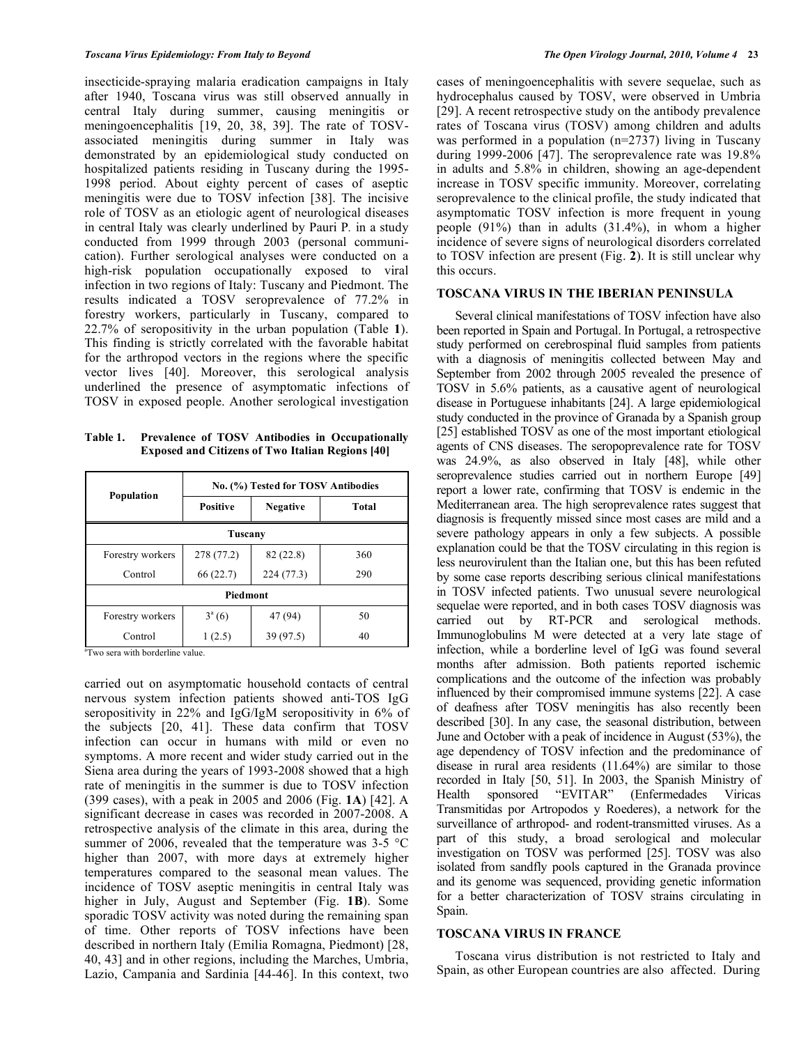insecticide-spraying malaria eradication campaigns in Italy after 1940, Toscana virus was still observed annually in central Italy during summer, causing meningitis or meningoencephalitis [19, 20, 38, 39]. The rate of TOSVassociated meningitis during summer in Italy was demonstrated by an epidemiological study conducted on hospitalized patients residing in Tuscany during the 1995- 1998 period. About eighty percent of cases of aseptic meningitis were due to TOSV infection [38]. The incisive role of TOSV as an etiologic agent of neurological diseases in central Italy was clearly underlined by Pauri P*.* in a study conducted from 1999 through 2003 (personal communication). Further serological analyses were conducted on a high-risk population occupationally exposed to viral infection in two regions of Italy: Tuscany and Piedmont. The results indicated a TOSV seroprevalence of 77.2% in forestry workers, particularly in Tuscany, compared to 22.7% of seropositivity in the urban population (Table **1**). This finding is strictly correlated with the favorable habitat for the arthropod vectors in the regions where the specific vector lives [40]. Moreover, this serological analysis underlined the presence of asymptomatic infections of TOSV in exposed people. Another serological investigation

**Table 1. Prevalence of TOSV Antibodies in Occupationally Exposed and Citizens of Two Italian Regions [40]** 

| Population       | No. (%) Tested for TOSV Antibodies |                 |       |
|------------------|------------------------------------|-----------------|-------|
|                  | <b>Positive</b>                    | <b>Negative</b> | Total |
| Tuscany          |                                    |                 |       |
| Forestry workers | 278 (77.2)                         | 82 (22.8)       | 360   |
| Control          | 66(22.7)                           | 224(77.3)       | 290   |
| Piedmont         |                                    |                 |       |
| Forestry workers | $3^a(6)$                           | 47 (94)         | 50    |
| Control          | 1(2.5)                             | 39 (97.5)       | 40    |

<sup>a</sup>Two sera with borderline value.

carried out on asymptomatic household contacts of central nervous system infection patients showed anti-TOS IgG seropositivity in 22% and IgG/IgM seropositivity in 6% of the subjects [20, 41]. These data confirm that TOSV infection can occur in humans with mild or even no symptoms. A more recent and wider study carried out in the Siena area during the years of 1993-2008 showed that a high rate of meningitis in the summer is due to TOSV infection (399 cases), with a peak in 2005 and 2006 (Fig. **1A**) [42]. A significant decrease in cases was recorded in 2007-2008. A retrospective analysis of the climate in this area, during the summer of 2006, revealed that the temperature was  $3\n-5$  °C higher than 2007, with more days at extremely higher temperatures compared to the seasonal mean values. The incidence of TOSV aseptic meningitis in central Italy was higher in July, August and September (Fig. **1B**). Some sporadic TOSV activity was noted during the remaining span of time. Other reports of TOSV infections have been described in northern Italy (Emilia Romagna, Piedmont) [28, 40, 43] and in other regions, including the Marches, Umbria, Lazio, Campania and Sardinia [44-46]. In this context, two

cases of meningoencephalitis with severe sequelae, such as hydrocephalus caused by TOSV, were observed in Umbria [29]. A recent retrospective study on the antibody prevalence rates of Toscana virus (TOSV) among children and adults was performed in a population (n=2737) living in Tuscany during 1999-2006 [47]. The seroprevalence rate was 19.8% in adults and 5.8% in children, showing an age-dependent increase in TOSV specific immunity. Moreover, correlating seroprevalence to the clinical profile, the study indicated that asymptomatic TOSV infection is more frequent in young people (91%) than in adults (31.4%), in whom a higher incidence of severe signs of neurological disorders correlated to TOSV infection are present (Fig. **2**). It is still unclear why this occurs.

## **TOSCANA VIRUS IN THE IBERIAN PENINSULA**

 Several clinical manifestations of TOSV infection have also been reported in Spain and Portugal. In Portugal, a retrospective study performed on cerebrospinal fluid samples from patients with a diagnosis of meningitis collected between May and September from 2002 through 2005 revealed the presence of TOSV in 5.6% patients, as a causative agent of neurological disease in Portuguese inhabitants [24]. A large epidemiological study conducted in the province of Granada by a Spanish group [25] established TOSV as one of the most important etiological agents of CNS diseases. The seropoprevalence rate for TOSV was 24.9%, as also observed in Italy [48], while other seroprevalence studies carried out in northern Europe [49] report a lower rate, confirming that TOSV is endemic in the Mediterranean area. The high seroprevalence rates suggest that diagnosis is frequently missed since most cases are mild and a severe pathology appears in only a few subjects. A possible explanation could be that the TOSV circulating in this region is less neurovirulent than the Italian one, but this has been refuted by some case reports describing serious clinical manifestations in TOSV infected patients. Two unusual severe neurological sequelae were reported, and in both cases TOSV diagnosis was carried out by RT-PCR and serological methods. Immunoglobulins M were detected at a very late stage of infection, while a borderline level of IgG was found several months after admission. Both patients reported ischemic complications and the outcome of the infection was probably influenced by their compromised immune systems [22]. A case of deafness after TOSV meningitis has also recently been described [30]. In any case, the seasonal distribution, between June and October with a peak of incidence in August (53%), the age dependency of TOSV infection and the predominance of disease in rural area residents (11.64%) are similar to those recorded in Italy [50, 51]. In 2003, the Spanish Ministry of Health sponsored "EVITAR" (Enfermedades Viricas Health sponsored "EVITAR" (Enfermedades Viricas Transmitidas por Artropodos y Roederes), a network for the surveillance of arthropod- and rodent-transmitted viruses. As a part of this study, a broad serological and molecular investigation on TOSV was performed [25]. TOSV was also isolated from sandfly pools captured in the Granada province and its genome was sequenced, providing genetic information for a better characterization of TOSV strains circulating in Spain.

#### **TOSCANA VIRUS IN FRANCE**

 Toscana virus distribution is not restricted to Italy and Spain, as other European countries are also affected. During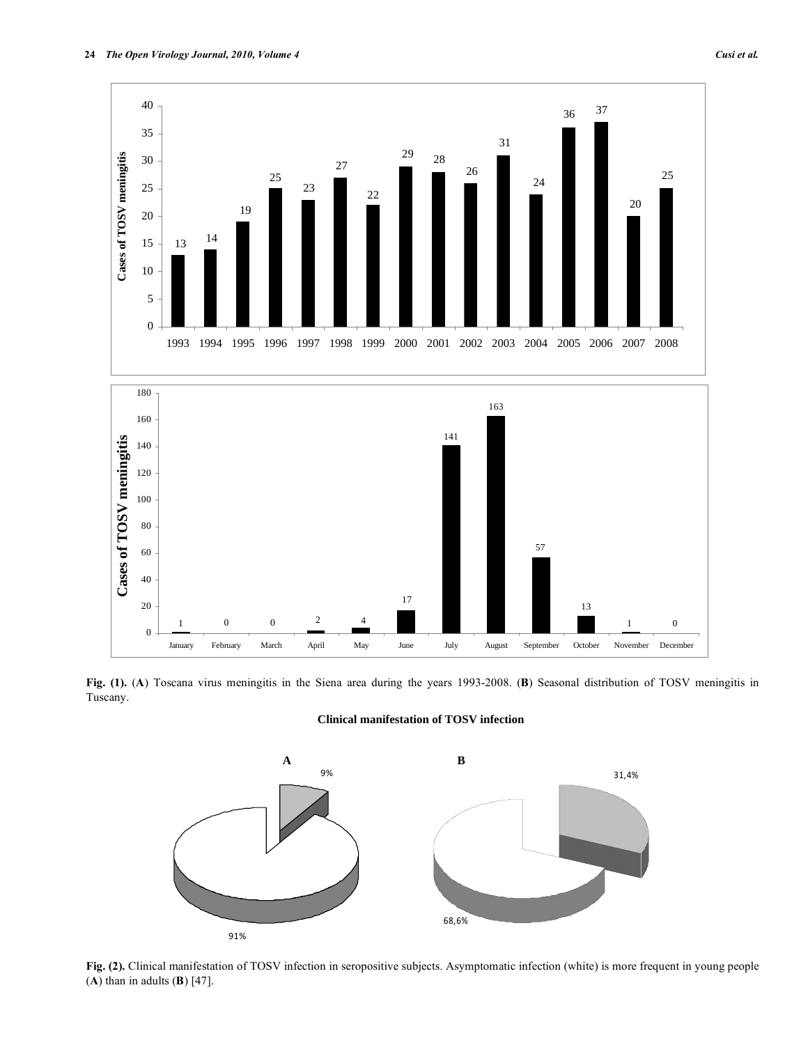

**Fig. (1).** (**A**) Toscana virus meningitis in the Siena area during the years 1993-2008. (**B**) Seasonal distribution of TOSV meningitis in Tuscany.

**Clinical manifestation of TOSV infection**



**Fig. (2).** Clinical manifestation of TOSV infection in seropositive subjects. Asymptomatic infection (white) is more frequent in young people (**A**) than in adults (**B**) [47].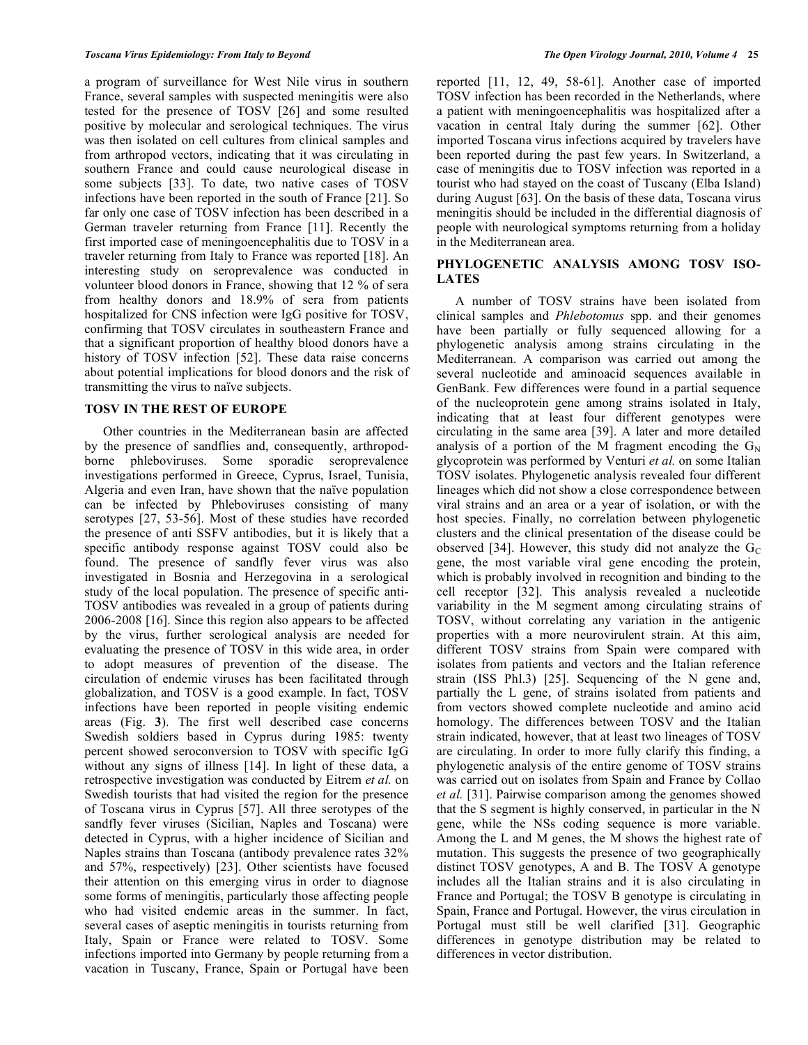a program of surveillance for West Nile virus in southern France, several samples with suspected meningitis were also tested for the presence of TOSV [26] and some resulted positive by molecular and serological techniques. The virus was then isolated on cell cultures from clinical samples and from arthropod vectors, indicating that it was circulating in southern France and could cause neurological disease in some subjects [33]. To date, two native cases of TOSV infections have been reported in the south of France [21]. So far only one case of TOSV infection has been described in a German traveler returning from France [11]. Recently the first imported case of meningoencephalitis due to TOSV in a traveler returning from Italy to France was reported [18]. An interesting study on seroprevalence was conducted in volunteer blood donors in France, showing that 12 % of sera from healthy donors and 18.9% of sera from patients hospitalized for CNS infection were IgG positive for TOSV, confirming that TOSV circulates in southeastern France and that a significant proportion of healthy blood donors have a history of TOSV infection [52]. These data raise concerns about potential implications for blood donors and the risk of transmitting the virus to naïve subjects.

# **TOSV IN THE REST OF EUROPE**

 Other countries in the Mediterranean basin are affected by the presence of sandflies and, consequently, arthropodborne phleboviruses. Some sporadic seroprevalence investigations performed in Greece, Cyprus, Israel, Tunisia, Algeria and even Iran, have shown that the naïve population can be infected by Phleboviruses consisting of many serotypes [27, 53-56]. Most of these studies have recorded the presence of anti SSFV antibodies, but it is likely that a specific antibody response against TOSV could also be found. The presence of sandfly fever virus was also investigated in Bosnia and Herzegovina in a serological study of the local population. The presence of specific anti-TOSV antibodies was revealed in a group of patients during 2006-2008 [16]. Since this region also appears to be affected by the virus, further serological analysis are needed for evaluating the presence of TOSV in this wide area, in order to adopt measures of prevention of the disease. The circulation of endemic viruses has been facilitated through globalization, and TOSV is a good example. In fact, TOSV infections have been reported in people visiting endemic areas (Fig. **3**). The first well described case concerns Swedish soldiers based in Cyprus during 1985: twenty percent showed seroconversion to TOSV with specific IgG without any signs of illness [14]. In light of these data, a retrospective investigation was conducted by Eitrem *et al.* on Swedish tourists that had visited the region for the presence of Toscana virus in Cyprus [57]. All three serotypes of the sandfly fever viruses (Sicilian, Naples and Toscana) were detected in Cyprus, with a higher incidence of Sicilian and Naples strains than Toscana (antibody prevalence rates 32% and 57%, respectively) [23]. Other scientists have focused their attention on this emerging virus in order to diagnose some forms of meningitis, particularly those affecting people who had visited endemic areas in the summer. In fact, several cases of aseptic meningitis in tourists returning from Italy, Spain or France were related to TOSV. Some infections imported into Germany by people returning from a vacation in Tuscany, France, Spain or Portugal have been

reported [11, 12, 49, 58-61]. Another case of imported TOSV infection has been recorded in the Netherlands, where a patient with meningoencephalitis was hospitalized after a vacation in central Italy during the summer [62]. Other imported Toscana virus infections acquired by travelers have been reported during the past few years. In Switzerland, a case of meningitis due to TOSV infection was reported in a tourist who had stayed on the coast of Tuscany (Elba Island) during August [63]. On the basis of these data, Toscana virus meningitis should be included in the differential diagnosis of people with neurological symptoms returning from a holiday in the Mediterranean area.

# **PHYLOGENETIC ANALYSIS AMONG TOSV ISO-LATES**

 A number of TOSV strains have been isolated from clinical samples and *Phlebotomus* spp. and their genomes have been partially or fully sequenced allowing for a phylogenetic analysis among strains circulating in the Mediterranean. A comparison was carried out among the several nucleotide and aminoacid sequences available in GenBank. Few differences were found in a partial sequence of the nucleoprotein gene among strains isolated in Italy, indicating that at least four different genotypes were circulating in the same area [39]. A later and more detailed analysis of a portion of the M fragment encoding the  $G_N$ glycoprotein was performed by Venturi *et al.* on some Italian TOSV isolates. Phylogenetic analysis revealed four different lineages which did not show a close correspondence between viral strains and an area or a year of isolation, or with the host species. Finally, no correlation between phylogenetic clusters and the clinical presentation of the disease could be observed [34]. However, this study did not analyze the  $G<sub>C</sub>$ gene, the most variable viral gene encoding the protein, which is probably involved in recognition and binding to the cell receptor [32]. This analysis revealed a nucleotide variability in the M segment among circulating strains of TOSV, without correlating any variation in the antigenic properties with a more neurovirulent strain. At this aim, different TOSV strains from Spain were compared with isolates from patients and vectors and the Italian reference strain (ISS Phl.3) [25]. Sequencing of the N gene and, partially the L gene, of strains isolated from patients and from vectors showed complete nucleotide and amino acid homology. The differences between TOSV and the Italian strain indicated, however, that at least two lineages of TOSV are circulating. In order to more fully clarify this finding, a phylogenetic analysis of the entire genome of TOSV strains was carried out on isolates from Spain and France by Collao *et al.* [31]. Pairwise comparison among the genomes showed that the S segment is highly conserved, in particular in the N gene, while the NSs coding sequence is more variable. Among the L and M genes, the M shows the highest rate of mutation. This suggests the presence of two geographically distinct TOSV genotypes, A and B. The TOSV A genotype includes all the Italian strains and it is also circulating in France and Portugal; the TOSV B genotype is circulating in Spain, France and Portugal. However, the virus circulation in Portugal must still be well clarified [31]. Geographic differences in genotype distribution may be related to differences in vector distribution.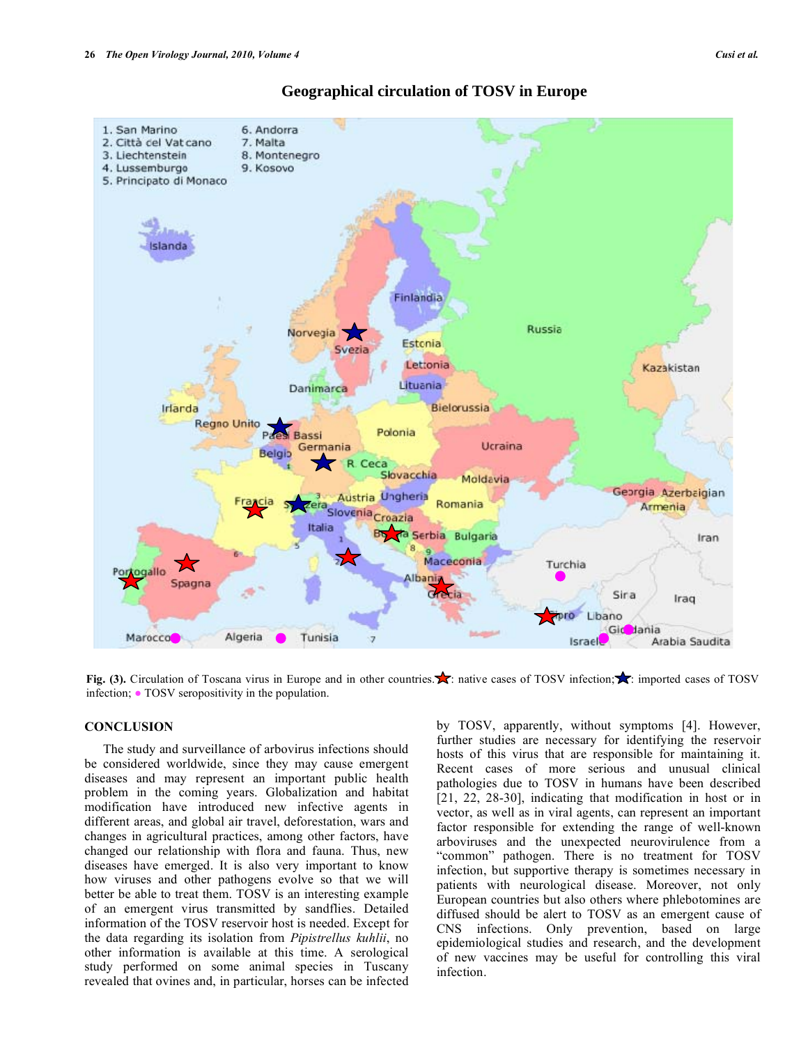

# **Geographical circulation of TOSV in Europe**

**Fig. (3).** Circulation of Toscana virus in Europe and in other countries.  $\blacktriangleright$  native cases of TOSV infection;  $\blacktriangleright$  imported cases of TOSV infection; • TOSV seropositivity in the population.

# **CONCLUSION**

 The study and surveillance of arbovirus infections should be considered worldwide, since they may cause emergent diseases and may represent an important public health problem in the coming years. Globalization and habitat modification have introduced new infective agents in different areas, and global air travel, deforestation, wars and changes in agricultural practices, among other factors, have changed our relationship with flora and fauna. Thus, new diseases have emerged. It is also very important to know how viruses and other pathogens evolve so that we will better be able to treat them. TOSV is an interesting example of an emergent virus transmitted by sandflies. Detailed information of the TOSV reservoir host is needed. Except for the data regarding its isolation from *Pipistrellus kuhlii*, no other information is available at this time. A serological study performed on some animal species in Tuscany revealed that ovines and, in particular, horses can be infected by TOSV, apparently, without symptoms [4]. However, further studies are necessary for identifying the reservoir hosts of this virus that are responsible for maintaining it. Recent cases of more serious and unusual clinical pathologies due to TOSV in humans have been described [21, 22, 28-30], indicating that modification in host or in vector, as well as in viral agents, can represent an important factor responsible for extending the range of well-known arboviruses and the unexpected neurovirulence from a "common" pathogen. There is no treatment for TOSV infection, but supportive therapy is sometimes necessary in patients with neurological disease. Moreover, not only European countries but also others where phlebotomines are diffused should be alert to TOSV as an emergent cause of CNS infections. Only prevention, based on large epidemiological studies and research, and the development of new vaccines may be useful for controlling this viral infection.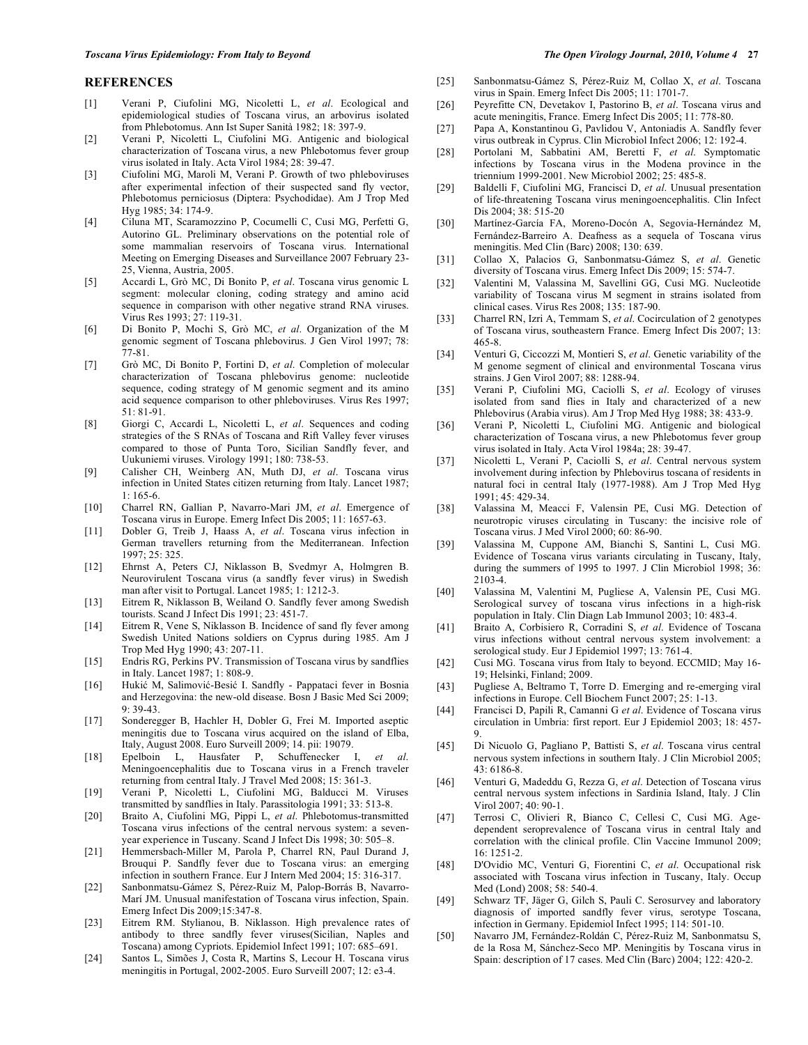#### **REFERENCES**

- [1] Verani P, Ciufolini MG, Nicoletti L, *et al*. Ecological and epidemiological studies of Toscana virus, an arbovirus isolated from Phlebotomus. Ann Ist Super Sanità 1982; 18: 397-9.
- [2] Verani P, Nicoletti L, Ciufolini MG. Antigenic and biological characterization of Toscana virus, a new Phlebotomus fever group virus isolated in Italy. Acta Virol 1984; 28: 39-47.
- [3] Ciufolini MG, Maroli M, Verani P. Growth of two phleboviruses after experimental infection of their suspected sand fly vector, Phlebotomus perniciosus (Diptera: Psychodidae). Am J Trop Med Hyg 1985; 34: 174-9.
- [4] Ciluna MT, Scaramozzino P, Cocumelli C, Cusi MG, Perfetti G, Autorino GL. Preliminary observations on the potential role of some mammalian reservoirs of Toscana virus. International Meeting on Emerging Diseases and Surveillance 2007 February 23- 25, Vienna, Austria, 2005.
- [5] Accardi L, Grò MC, Di Bonito P, *et al*. Toscana virus genomic L segment: molecular cloning, coding strategy and amino acid sequence in comparison with other negative strand RNA viruses. Virus Res 1993; 27: 119-31.
- [6] Di Bonito P, Mochi S, Grò MC, *et al*. Organization of the M genomic segment of Toscana phlebovirus. J Gen Virol 1997; 78: 77-81.
- [7] Grò MC, Di Bonito P, Fortini D, *et al*. Completion of molecular characterization of Toscana phlebovirus genome: nucleotide sequence, coding strategy of M genomic segment and its amino acid sequence comparison to other phleboviruses. Virus Res 1997;  $51 \cdot 81 - 91$
- [8] Giorgi C, Accardi L, Nicoletti L, *et al*. Sequences and coding strategies of the S RNAs of Toscana and Rift Valley fever viruses compared to those of Punta Toro, Sicilian Sandfly fever, and Uukuniemi viruses. Virology 1991; 180: 738-53.
- [9] Calisher CH, Weinberg AN, Muth DJ, *et al*. Toscana virus infection in United States citizen returning from Italy. Lancet 1987; 1: 165-6.
- [10] Charrel RN, Gallian P, Navarro-Mari JM, *et al*. Emergence of Toscana virus in Europe. Emerg Infect Dis 2005; 11: 1657-63.
- [11] Dobler G, Treib J, Haass A, *et al*. Toscana virus infection in German travellers returning from the Mediterranean. Infection 1997; 25: 325.
- [12] Ehrnst A, Peters CJ, Niklasson B, Svedmyr A, Holmgren B. Neurovirulent Toscana virus (a sandfly fever virus) in Swedish man after visit to Portugal. Lancet 1985; 1: 1212-3.
- [13] Eitrem R, Niklasson B, Weiland O. Sandfly fever among Swedish tourists. Scand J Infect Dis 1991; 23: 451-7.
- [14] Eitrem R, Vene S, Niklasson B. Incidence of sand fly fever among Swedish United Nations soldiers on Cyprus during 1985. Am J Trop Med Hyg 1990; 43: 207-11.
- [15] Endris RG, Perkins PV. Transmission of Toscana virus by sandflies in Italy. Lancet 1987; 1: 808-9.
- [16] Hukić M, Salimović-Besić I. Sandfly Pappataci fever in Bosnia and Herzegovina: the new-old disease. Bosn J Basic Med Sci 2009;  $9.39 - 43$
- [17] Sonderegger B, Hachler H, Dobler G, Frei M. Imported aseptic meningitis due to Toscana virus acquired on the island of Elba, Italy, August 2008. Euro Surveill 2009; 14. pii: 19079.
- [18] Epelboin L, Hausfater P, Schuffenecker I, *et al*. Meningoencephalitis due to Toscana virus in a French traveler returning from central Italy. J Travel Med 2008; 15: 361-3.
- [19] Verani P, Nicoletti L, Ciufolini MG, Balducci M. Viruses transmitted by sandflies in Italy. Parassitologia 1991; 33: 513-8.
- [20] Braito A, Ciufolini MG, Pippi L, *et al*. Phlebotomus-transmitted Toscana virus infections of the central nervous system: a sevenyear experience in Tuscany. Scand J Infect Dis 1998; 30: 505–8.
- [21] Hemmersbach-Miller M, Parola P, Charrel RN, Paul Durand J, Brouqui P. Sandfly fever due to Toscana virus: an emerging infection in southern France. Eur J Intern Med 2004; 15: 316-317.
- [22] Sanbonmatsu-Gámez S, Pérez-Ruiz M, Palop-Borrás B, Navarro-Marí JM. Unusual manifestation of Toscana virus infection, Spain. Emerg Infect Dis 2009;15:347-8.
- [23] Eitrem RM. Stylianou, B. Niklasson. High prevalence rates of antibody to three sandfly fever viruses(Sicilian, Naples and Toscana) among Cypriots. Epidemiol Infect 1991; 107: 685–691.
- [24] Santos L, Simões J, Costa R, Martins S, Lecour H. Toscana virus meningitis in Portugal, 2002-2005. Euro Surveill 2007; 12: e3-4.
- [25] Sanbonmatsu-Gámez S, Pérez-Ruiz M, Collao X, *et al*. Toscana virus in Spain. Emerg Infect Dis 2005; 11: 1701-7.
- [26] Peyrefitte CN, Devetakov I, Pastorino B, *et al*. Toscana virus and acute meningitis, France. Emerg Infect Dis 2005; 11: 778-80.
- [27] Papa A, Konstantinou G, Pavlidou V, Antoniadis A. Sandfly fever virus outbreak in Cyprus. Clin Microbiol Infect 2006; 12: 192-4.
- [28] Portolani M, Sabbatini AM, Beretti F, *et al*. Symptomatic infections by Toscana virus in the Modena province in the triennium 1999-2001. New Microbiol 2002; 25: 485-8.
- [29] Baldelli F, Ciufolini MG, Francisci D, *et al*. Unusual presentation of life-threatening Toscana virus meningoencephalitis. Clin Infect Dis 2004; 38: 515-20
- [30] Martínez-García FA, Moreno-Docón A, Segovia-Hernández M, Fernández-Barreiro A. Deafness as a sequela of Toscana virus meningitis. Med Clin (Barc) 2008; 130: 639.
- [31] Collao X, Palacios G, Sanbonmatsu-Gámez S, *et al*. Genetic diversity of Toscana virus. Emerg Infect Dis 2009; 15: 574-7.
- [32] Valentini M, Valassina M, Savellini GG, Cusi MG. Nucleotide variability of Toscana virus M segment in strains isolated from clinical cases. Virus Res 2008; 135: 187-90.
- [33] Charrel RN, Izri A, Temmam S, *et al*. Cocirculation of 2 genotypes of Toscana virus, southeastern France. Emerg Infect Dis 2007; 13: 465-8.
- [34] Venturi G, Ciccozzi M, Montieri S, *et al*. Genetic variability of the M genome segment of clinical and environmental Toscana virus strains. J Gen Virol 2007; 88: 1288-94.
- [35] Verani P, Ciufolini MG, Caciolli S, *et al*. Ecology of viruses isolated from sand flies in Italy and characterized of a new Phlebovirus (Arabia virus). Am J Trop Med Hyg 1988; 38: 433-9.
- [36] Verani P, Nicoletti L, Ciufolini MG. Antigenic and biological characterization of Toscana virus, a new Phlebotomus fever group virus isolated in Italy. Acta Virol 1984a; 28: 39-47.
- [37] Nicoletti L, Verani P, Caciolli S, *et al*. Central nervous system involvement during infection by Phlebovirus toscana of residents in natural foci in central Italy (1977-1988). Am J Trop Med Hyg 1991; 45: 429-34.
- [38] Valassina M, Meacci F, Valensin PE, Cusi MG. Detection of neurotropic viruses circulating in Tuscany: the incisive role of Toscana virus. J Med Virol 2000; 60: 86-90.
- [39] Valassina M, Cuppone AM, Bianchi S, Santini L, Cusi MG. Evidence of Toscana virus variants circulating in Tuscany, Italy, during the summers of 1995 to 1997. J Clin Microbiol 1998; 36: 2103-4.
- [40] Valassina M, Valentini M, Pugliese A, Valensin PE, Cusi MG. Serological survey of toscana virus infections in a high-risk population in Italy. Clin Diagn Lab Immunol 2003; 10: 483-4.
- [41] Braito A, Corbisiero R, Corradini S, *et al*. Evidence of Toscana virus infections without central nervous system involvement: a serological study. Eur J Epidemiol 1997; 13: 761-4.
- [42] Cusi MG. Toscana virus from Italy to beyond. ECCMID; May 16- 19; Helsinki, Finland; 2009.
- [43] Pugliese A, Beltramo T, Torre D. Emerging and re-emerging viral infections in Europe. Cell Biochem Funct 2007; 25: 1-13.
- [44] Francisci D, Papili R, Camanni G *et al*. Evidence of Toscana virus circulation in Umbria: first report. Eur J Epidemiol 2003; 18: 457- 9.
- [45] Di Nicuolo G, Pagliano P, Battisti S, *et al*. Toscana virus central nervous system infections in southern Italy. J Clin Microbiol 2005; 43: 6186-8.
- [46] Venturi G, Madeddu G, Rezza G, *et al*. Detection of Toscana virus central nervous system infections in Sardinia Island, Italy. J Clin Virol 2007; 40: 90-1.
- [47] Terrosi C, Olivieri R, Bianco C, Cellesi C, Cusi MG. Agedependent seroprevalence of Toscana virus in central Italy and correlation with the clinical profile. Clin Vaccine Immunol 2009; 16: 1251-2.
- [48] D'Ovidio MC, Venturi G, Fiorentini C, *et al*. Occupational risk associated with Toscana virus infection in Tuscany, Italy. Occup Med (Lond) 2008; 58: 540-4.
- [49] Schwarz TF, Jäger G, Gilch S, Pauli C. Serosurvey and laboratory diagnosis of imported sandfly fever virus, serotype Toscana, infection in Germany. Epidemiol Infect 1995; 114: 501-10.
- [50] Navarro JM, Fernández-Roldán C, Pérez-Ruiz M, Sanbonmatsu S, de la Rosa M, Sánchez-Seco MP. Meningitis by Toscana virus in Spain: description of 17 cases. Med Clin (Barc) 2004; 122: 420-2.